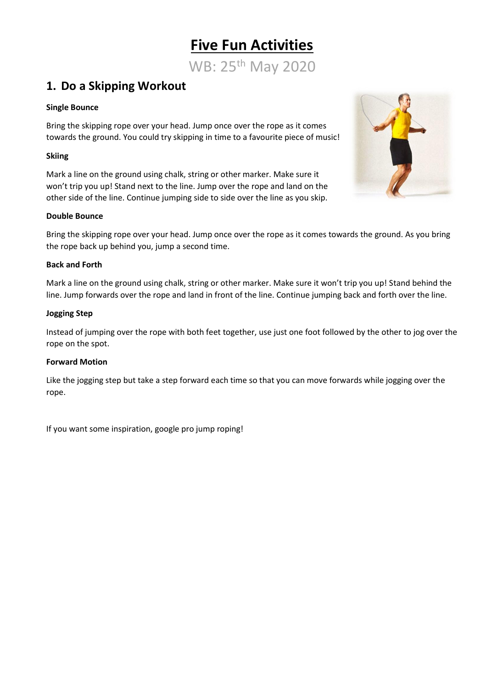## **Five Fun Activities**

WB: 25th May 2020

## **1. Do a Skipping Workout**

#### **Single Bounce**

Bring the skipping rope over your head. Jump once over the rope as it comes towards the ground. You could try skipping in time to a favourite piece of music!

#### **Skiing**

Mark a line on the ground using chalk, string or other marker. Make sure it won't trip you up! Stand next to the line. Jump over the rope and land on the other side of the line. Continue jumping side to side over the line as you skip.



Bring the skipping rope over your head. Jump once over the rope as it comes towards the ground. As you bring the rope back up behind you, jump a second time.

#### **Back and Forth**

Mark a line on the ground using chalk, string or other marker. Make sure it won't trip you up! Stand behind the line. Jump forwards over the rope and land in front of the line. Continue jumping back and forth over the line.

#### **Jogging Step**

Instead of jumping over the rope with both feet together, use just one foot followed by the other to jog over the rope on the spot.

#### **Forward Motion**

Like the jogging step but take a step forward each time so that you can move forwards while jogging over the rope.

If you want some inspiration, google pro jump roping!

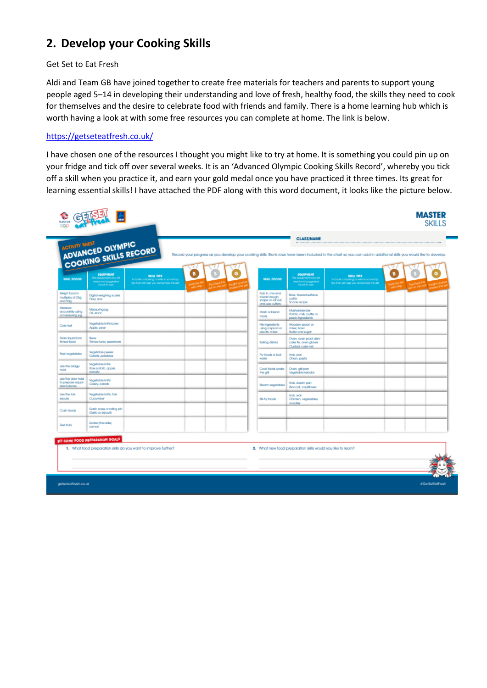## **2. Develop your Cooking Skills**

#### Get Set to Eat Fresh

Aldi and Team GB have joined together to create free materials for teachers and parents to support young people aged 5–14 in developing their understanding and love of fresh, healthy food, the skills they need to cook for themselves and the desire to celebrate food with friends and family. There is a home learning hub which is worth having a look at with some free resources you can complete at home. The link is below.

#### <https://getseteatfresh.co.uk/>

I have chosen one of the resources I thought you might like to try at home. It is something you could pin up on your fridge and tick off over several weeks. It is an 'Advanced Olympic Cooking Skills Record', whereby you tick off a skill when you practice it, and earn your gold medal once you have practiced it three times. Its great for learning essential skills! I have attached the PDF along with this word document, it looks like the picture below.

| <b>SKILL FOCUS</b>                                     | ADVANCED OLYMPIC<br>COOKING SKILLS RECORD<br><b>EQUIPMENT</b><br><b>The occupation's you will</b> | SKILL TIPS<br>include a drawing or wife in some top. |  | <b>SKILL FOCUS</b>                                                        | <b>EQUIPMENT</b><br>he equipment you will                             | SKILL TIPS<br>halude a drawing or wife in some fap. |  |
|--------------------------------------------------------|---------------------------------------------------------------------------------------------------|------------------------------------------------------|--|---------------------------------------------------------------------------|-----------------------------------------------------------------------|-----------------------------------------------------|--|
|                                                        | helpingua breitoni<br>foods to use                                                                | figs that will help you remember this skill          |  |                                                                           | bettegut breiten<br>foods to use                                      | fips that will help you remember this skill         |  |
| Weigh food in<br>multiples of 25g<br>and 50g           | Digital weighing scales<br>Flour, dog-                                                            |                                                      |  | Rub in, mix and<br>Imead dough.<br>shape or roll out.<br>and use cuffers. | Bowl, floured surface.<br>culter<br>Scone recipe                      |                                                     |  |
| Megaure<br>accurately using<br>a measuing jug          | Measuring jug<br>Of stock                                                                         |                                                      |  | Mash or bland<br>foods                                                    | Masheriblender<br>Potato, milk, butter or<br>pesto ingrediente.       |                                                     |  |
| Core fruit                                             | Vegelable knife/corer<br>Accle, pear                                                              |                                                      |  | Mx ingredients<br>using a space or<br>electic mixe.                       | Wooden spoon or<br>mbar, bowl<br>Buffer and sugar                     |                                                     |  |
| <b>Drain liquid from</b><br>finned food                | Seve<br>Timed fung sweetcom                                                                       |                                                      |  | Baking dishes                                                             | Oven, oven proof dish/<br>cake fin, oven gloves<br>Custord, colle mix |                                                     |  |
| <b>Peal vegetables</b>                                 | Vegelable peeler<br>Carols polatoes                                                               |                                                      |  | Fry foods or boil<br>woher                                                | Hob, pan<br>Chion, pasta                                              |                                                     |  |
| Use the bridge<br>hold                                 | Vegetable knife<br>Raw potato, apple.<br>lamato                                                   |                                                      |  | Cook foods under<br>the crit                                              | Oven, grill pan<br>Viscontable kebaba                                 |                                                     |  |
| Use the claw hold<br>to prepare equal-<br>sized pieces | Vegetable knife<br>Calary, carrols                                                                |                                                      |  | Steam vegetables                                                          | Hob, steam pan<br><b>Boccol, coulfower</b>                            |                                                     |  |
| <b>Lisa the fork</b><br>\$0CUN                         | Vegetable knife, fork<br>Cucumber                                                                 |                                                      |  | <b>Sti-fry foods</b>                                                      | Holts, wok<br>Chicken, vegetables,<br>noodias                         |                                                     |  |
| Crush foods                                            | Garlic press or rolling pin<br>Garlie or biscults                                                 |                                                      |  |                                                                           |                                                                       |                                                     |  |
| Zoot fruits                                            | Grafer (fine side)<br>Lemon                                                                       |                                                      |  |                                                                           |                                                                       |                                                     |  |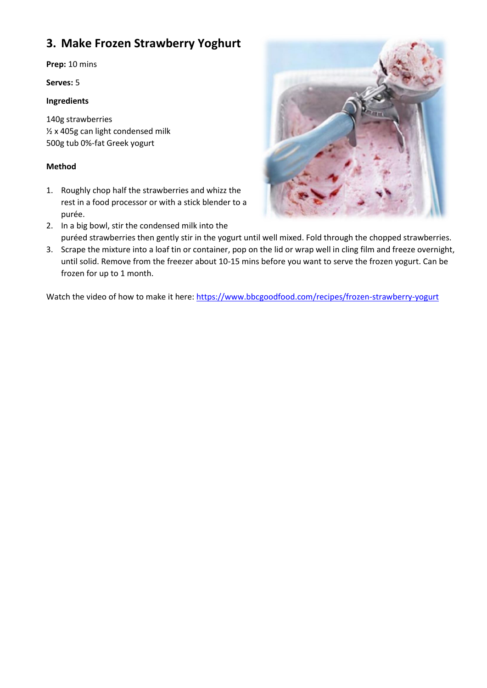## **3. Make Frozen Strawberry Yoghurt**

**Prep:** 10 mins

**Serves:** 5

#### **Ingredients**

140g strawberries ½ x 405g can light condensed milk 500g tub 0%-fat Greek yogurt

#### **Method**

1. Roughly chop half the strawberries and whizz the rest in a food processor or with a stick blender to a purée.



- 2. In a big bowl, stir the condensed milk into the puréed strawberries then gently stir in the yogurt until well mixed. Fold through the chopped strawberries.
- 3. Scrape the mixture into a loaf tin or container, pop on the lid or wrap well in cling film and freeze overnight, until solid. Remove from the freezer about 10-15 mins before you want to serve the frozen yogurt. Can be frozen for up to 1 month.

Watch the video of how to make it here:<https://www.bbcgoodfood.com/recipes/frozen-strawberry-yogurt>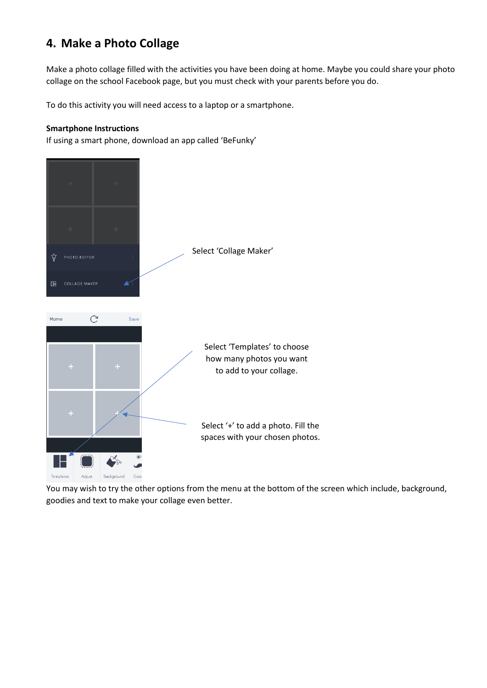## **4. Make a Photo Collage**

Make a photo collage filled with the activities you have been doing at home. Maybe you could share your photo collage on the school Facebook page, but you must check with your parents before you do.

To do this activity you will need access to a laptop or a smartphone.

#### **Smartphone Instructions**

If using a smart phone, download an app called 'BeFunky'



You may wish to try the other options from the menu at the bottom of the screen which include, background, goodies and text to make your collage even better.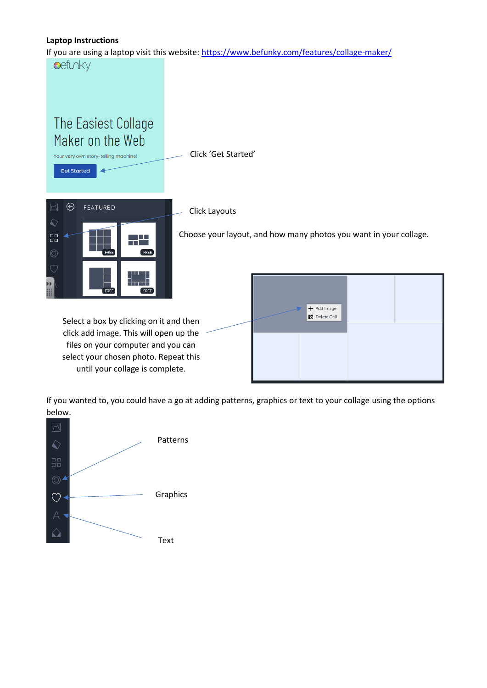#### **Laptop Instructions**

If you are using a laptop visit this website:<https://www.befunky.com/features/collage-maker/>

befuky



click add image. This will open up the files on your computer and you can select your chosen photo. Repeat this until your collage is complete.

| + Add Image<br>Delete Cell |  |
|----------------------------|--|
|                            |  |

If you wanted to, you could have a go at adding patterns, graphics or text to your collage using the options below.